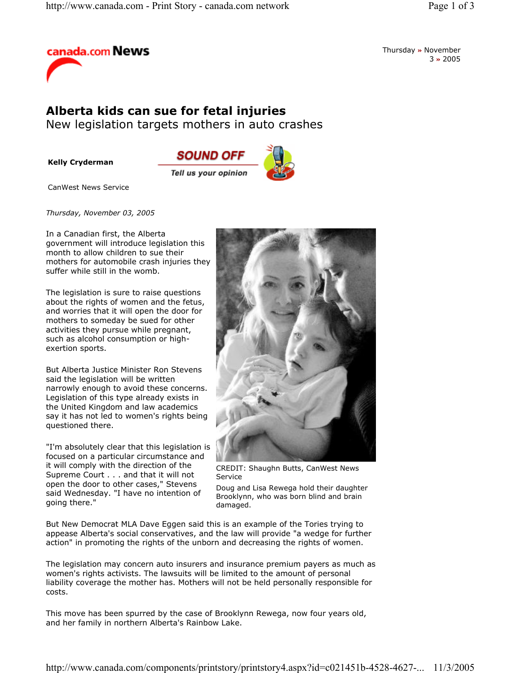

Thursday **»** November 3 **»** 2005

## **Alberta kids can sue for fetal injuries**

New legislation targets mothers in auto crashes

**Kelly Cryderman**



CanWest News Service

*Thursday, November 03, 2005* 

In a Canadian first, the Alberta government will introduce legislation this month to allow children to sue their mothers for automobile crash injuries they suffer while still in the womb.

The legislation is sure to raise questions about the rights of women and the fetus, and worries that it will open the door for mothers to someday be sued for other activities they pursue while pregnant, such as alcohol consumption or highexertion sports.

But Alberta Justice Minister Ron Stevens said the legislation will be written narrowly enough to avoid these concerns. Legislation of this type already exists in the United Kingdom and law academics say it has not led to women's rights being questioned there.

"I'm absolutely clear that this legislation is focused on a particular circumstance and it will comply with the direction of the Supreme Court . . . and that it will not open the door to other cases," Stevens said Wednesday. "I have no intention of going there."



CREDIT: Shaughn Butts, CanWest News Service

Doug and Lisa Rewega hold their daughter Brooklynn, who was born blind and brain damaged.

But New Democrat MLA Dave Eggen said this is an example of the Tories trying to appease Alberta's social conservatives, and the law will provide "a wedge for further action" in promoting the rights of the unborn and decreasing the rights of women.

The legislation may concern auto insurers and insurance premium payers as much as women's rights activists. The lawsuits will be limited to the amount of personal liability coverage the mother has. Mothers will not be held personally responsible for costs.

This move has been spurred by the case of Brooklynn Rewega, now four years old, and her family in northern Alberta's Rainbow Lake.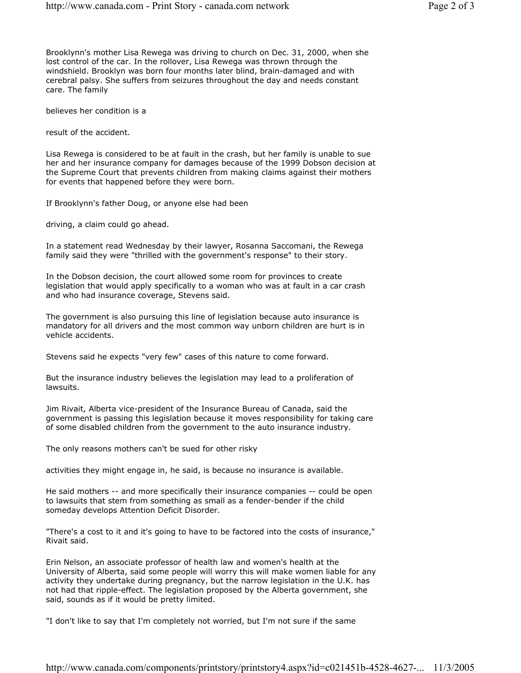Brooklynn's mother Lisa Rewega was driving to church on Dec. 31, 2000, when she lost control of the car. In the rollover, Lisa Rewega was thrown through the windshield. Brooklyn was born four months later blind, brain-damaged and with cerebral palsy. She suffers from seizures throughout the day and needs constant care. The family

believes her condition is a

result of the accident.

Lisa Rewega is considered to be at fault in the crash, but her family is unable to sue her and her insurance company for damages because of the 1999 Dobson decision at the Supreme Court that prevents children from making claims against their mothers for events that happened before they were born.

If Brooklynn's father Doug, or anyone else had been

driving, a claim could go ahead.

In a statement read Wednesday by their lawyer, Rosanna Saccomani, the Rewega family said they were "thrilled with the government's response" to their story.

In the Dobson decision, the court allowed some room for provinces to create legislation that would apply specifically to a woman who was at fault in a car crash and who had insurance coverage, Stevens said.

The government is also pursuing this line of legislation because auto insurance is mandatory for all drivers and the most common way unborn children are hurt is in vehicle accidents.

Stevens said he expects "very few" cases of this nature to come forward.

But the insurance industry believes the legislation may lead to a proliferation of lawsuits.

Jim Rivait, Alberta vice-president of the Insurance Bureau of Canada, said the government is passing this legislation because it moves responsibility for taking care of some disabled children from the government to the auto insurance industry.

The only reasons mothers can't be sued for other risky

activities they might engage in, he said, is because no insurance is available.

He said mothers -- and more specifically their insurance companies -- could be open to lawsuits that stem from something as small as a fender-bender if the child someday develops Attention Deficit Disorder.

"There's a cost to it and it's going to have to be factored into the costs of insurance," Rivait said.

Erin Nelson, an associate professor of health law and women's health at the University of Alberta, said some people will worry this will make women liable for any activity they undertake during pregnancy, but the narrow legislation in the U.K. has not had that ripple-effect. The legislation proposed by the Alberta government, she said, sounds as if it would be pretty limited.

"I don't like to say that I'm completely not worried, but I'm not sure if the same